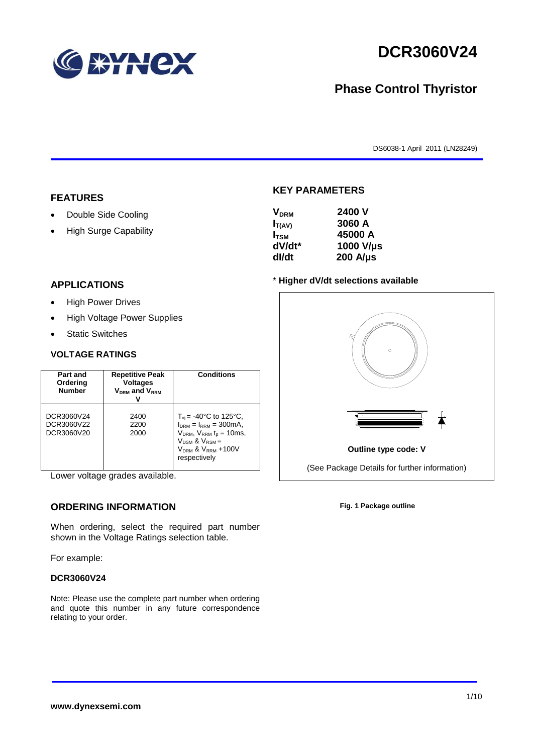

# **DCR3060V24**

# **Phase Control Thyristor**

DS6038-1 April 2011 (LN28249)

#### **FEATURES**

- Double Side Cooling
- High Surge Capability

# $I_{T(AV)}$  **3060 A I**<sub>TSM</sub> 45000 A<br> **dV/dt**\* 1000 V/L

**KEY PARAMETERS**

**VDRM 2400 V**

**dI/dt 200 A/µs**

**dV/dt\* 1000 V/µs**

#### **APPLICATIONS**

- High Power Drives
- High Voltage Power Supplies
- Static Switches

#### **VOLTAGE RATINGS**

| Part and<br>Ordering<br><b>Number</b>  | <b>Repetitive Peak</b><br><b>Voltages</b><br>$V_{DRM}$ and $V_{RRM}$ | <b>Conditions</b>                                                                                                                                                                                   |
|----------------------------------------|----------------------------------------------------------------------|-----------------------------------------------------------------------------------------------------------------------------------------------------------------------------------------------------|
| DCR3060V24<br>DCR3060V22<br>DCR3060V20 | 2400<br>2200<br>2000                                                 | $T_{vi}$ = -40°C to 125°C,<br>$I_{DRM} = I_{RRM} = 300 \text{mA}$ ,<br>$V_{DRM}$ , $V_{RRM}$ $t_p = 10$ ms,<br>$V_{DSM}$ & $V_{RSM}$ =<br>V <sub>DRM</sub> & V <sub>RRM</sub> +100V<br>respectively |

Lower voltage grades available.

## **ORDERING INFORMATION**

When ordering, select the required part number shown in the Voltage Ratings selection table.

For example:

#### **DCR3060V24**

Note: Please use the complete part number when ordering and quote this number in any future correspondence relating to your order.



**Fig. 1 Package outline**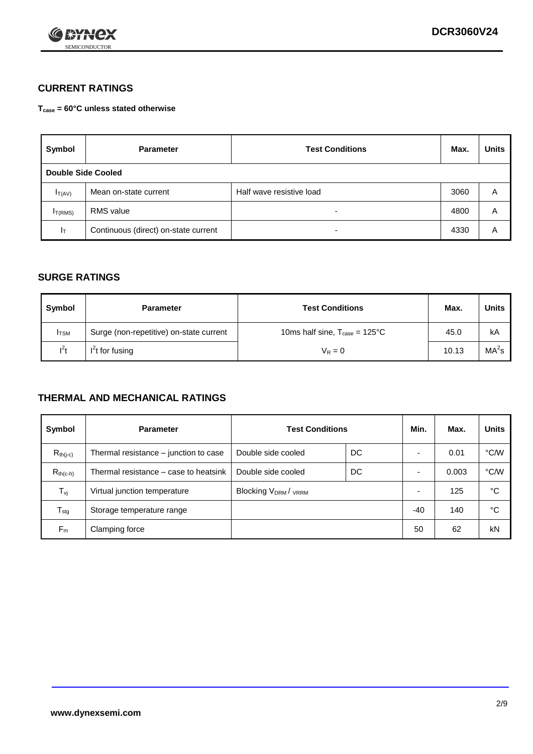

## **CURRENT RATINGS**

**Tcase = 60°C unless stated otherwise**

| Symbol             | <b>Parameter</b>                     | <b>Test Conditions</b>   | Max. | <b>Units</b> |  |
|--------------------|--------------------------------------|--------------------------|------|--------------|--|
| Double Side Cooled |                                      |                          |      |              |  |
| $I_{T(AV)}$        | Mean on-state current                | Half wave resistive load | 3060 | Α            |  |
| $I_{T(RMS)}$       | <b>RMS</b> value                     | $\overline{\phantom{0}}$ | 4800 | Α            |  |
| Iт                 | Continuous (direct) on-state current | $\overline{\phantom{0}}$ | 4330 | Α            |  |

#### **SURGE RATINGS**

| Symbol       | <b>Parameter</b>                        | <b>Test Conditions</b>                            | Max.  | <b>Units</b>      |
|--------------|-----------------------------------------|---------------------------------------------------|-------|-------------------|
| <b>I</b> TSM | Surge (non-repetitive) on-state current | 10ms half sine, $T_{\text{case}} = 125^{\circ}$ C | 45.0  | kA                |
| $l^2t$       | I <sup>'</sup> t for fusing             | $V_R = 0$                                         | 10.13 | MA <sup>2</sup> s |

### **THERMAL AND MECHANICAL RATINGS**

| Symbol           | <b>Parameter</b>                      | <b>Test Conditions</b>    |    | Min. | Max.  | <b>Units</b> |
|------------------|---------------------------------------|---------------------------|----|------|-------|--------------|
| $R_{th(i-c)}$    | Thermal resistance – junction to case | Double side cooled        | DC |      | 0.01  | °C/W         |
| $R_{th(c-h)}$    | Thermal resistance – case to heatsink | Double side cooled        | DC |      | 0.003 | °C/W         |
| $T_{\nu j}$      | Virtual junction temperature          | <b>Blocking VDRM/VRRM</b> |    |      | 125   | °C           |
| $T_{\text{stg}}$ | Storage temperature range             |                           |    | -40  | 140   | °C           |
| $F_m$            | Clamping force                        |                           |    | 50   | 62    | kN           |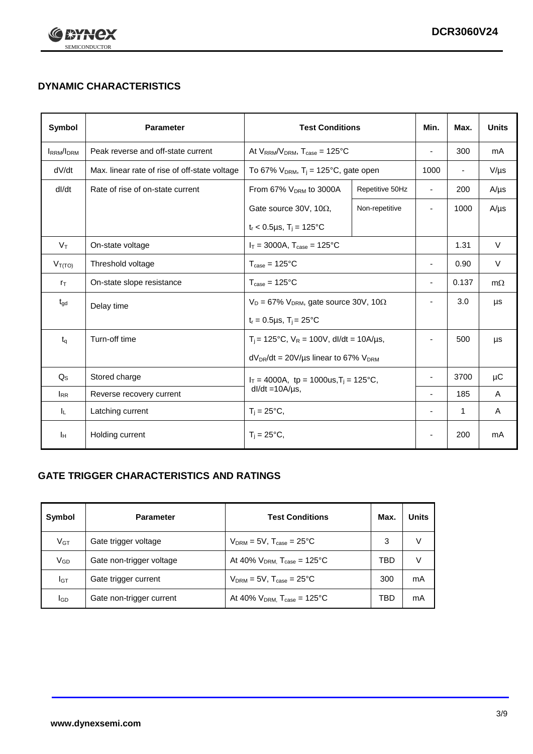

# **DYNAMIC CHARACTERISTICS**

| Symbol            | <b>Parameter</b>                              | <b>Test Conditions</b>                                                |                | Min.                     | Max.                     | <b>Units</b> |
|-------------------|-----------------------------------------------|-----------------------------------------------------------------------|----------------|--------------------------|--------------------------|--------------|
| <b>IRRM</b> /IDRM | Peak reverse and off-state current            | At $V_{RRM}/V_{DRM}$ , $T_{case} = 125^{\circ}C$                      |                | $\blacksquare$           | 300                      | mA           |
| dV/dt             | Max. linear rate of rise of off-state voltage | To 67% $V_{DRM}$ , T <sub>i</sub> = 125°C, gate open                  |                | 1000                     | $\overline{\phantom{a}}$ | $V/\mu s$    |
| dl/dt             | Rate of rise of on-state current              | From 67% $V_{DRM}$ to 3000A<br>Repetitive 50Hz                        |                | $\overline{\phantom{a}}$ | 200                      | $A/\mu s$    |
|                   |                                               | Gate source 30V, 10 $\Omega$ ,                                        | Non-repetitive | $\overline{\phantom{a}}$ | 1000                     | $A/\mu s$    |
|                   |                                               | $t_r$ < 0.5µs, T <sub>i</sub> = 125°C                                 |                |                          |                          |              |
| $V_T$             | On-state voltage                              | $I_T = 3000A$ , $T_{case} = 125^{\circ}C$                             |                |                          | 1.31                     | $\vee$       |
| $V_{T(TO)}$       | Threshold voltage                             | $T_{\text{case}} = 125^{\circ}C$                                      |                | $\blacksquare$           | 0.90                     | $\vee$       |
| $r_{\text{T}}$    | On-state slope resistance                     | $T_{\text{case}} = 125^{\circ}C$                                      |                | $\overline{\phantom{a}}$ | 0.137                    | $m\Omega$    |
| $t_{\rm gd}$      | Delay time                                    | $V_D = 67\%$ V <sub>DRM</sub> , gate source 30V, 10 $\Omega$          |                | $\overline{\phantom{a}}$ | 3.0                      | μs           |
|                   |                                               | $t_r = 0.5 \mu s$ , $T_i = 25^{\circ}C$                               |                |                          |                          |              |
| $t_{q}$           | Turn-off time                                 | $T_i$ = 125°C, $V_R$ = 100V, dl/dt = 10A/µs,                          |                | $\overline{\phantom{a}}$ | 500                      | μs           |
|                   |                                               | $dV_{DR}/dt = 20V/\mu s$ linear to 67% $V_{DRM}$                      |                |                          |                          |              |
| $Q_{\rm S}$       | Stored charge                                 | $I_T = 4000A$ , tp = 1000us, $T_i = 125$ °C,<br>$dl/dt = 10A/\mu s$ , |                |                          | 3700                     | μC           |
| $I_{RR}$          | Reverse recovery current                      |                                                                       |                | $\overline{\phantom{a}}$ | 185                      | A            |
| ΙL.               | Latching current                              | $T_i = 25^{\circ}C,$                                                  |                | $\overline{\phantom{a}}$ | 1                        | A            |
| Iн                | Holding current                               | $T_i = 25^{\circ}C,$                                                  |                |                          | 200                      | mA           |

## **GATE TRIGGER CHARACTERISTICS AND RATINGS**

| Symbol          | <b>Parameter</b>         | <b>Test Conditions</b>                | Max. | Units |
|-----------------|--------------------------|---------------------------------------|------|-------|
| V <sub>GT</sub> | Gate trigger voltage     | $V_{DRM}$ = 5V, $T_{case}$ = 25°C     | 3    | V     |
| $V_{GD}$        | Gate non-trigger voltage | At 40% $V_{DRM}$ , $T_{case}$ = 125°C | TBD  | V     |
| Iст             | Gate trigger current     | $V_{DRM}$ = 5V, $T_{case}$ = 25°C     | 300  | mA    |
| <b>I</b> GD     | Gate non-trigger current | At 40% $V_{DRM}$ , $T_{case}$ = 125°C | TBD  | mA    |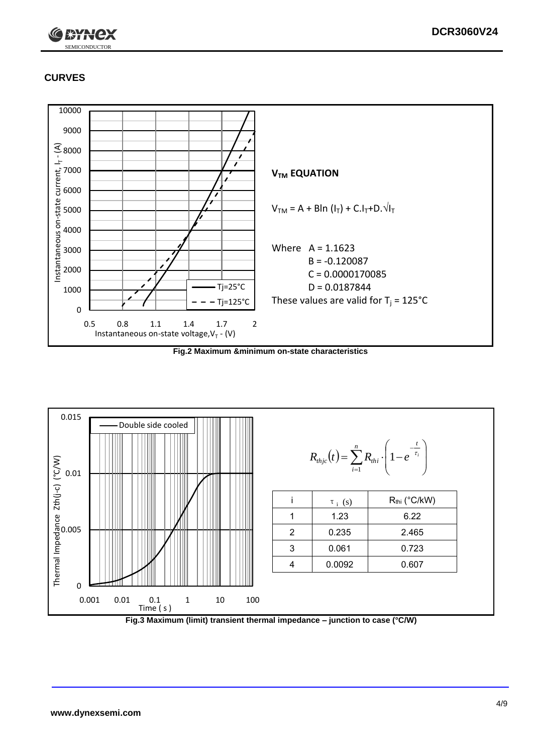

# **CURVES**



**Fig.2 Maximum &minimum on-state characteristics**



**Fig.3 Maximum (limit) transient thermal impedance – junction to case (°C/W)**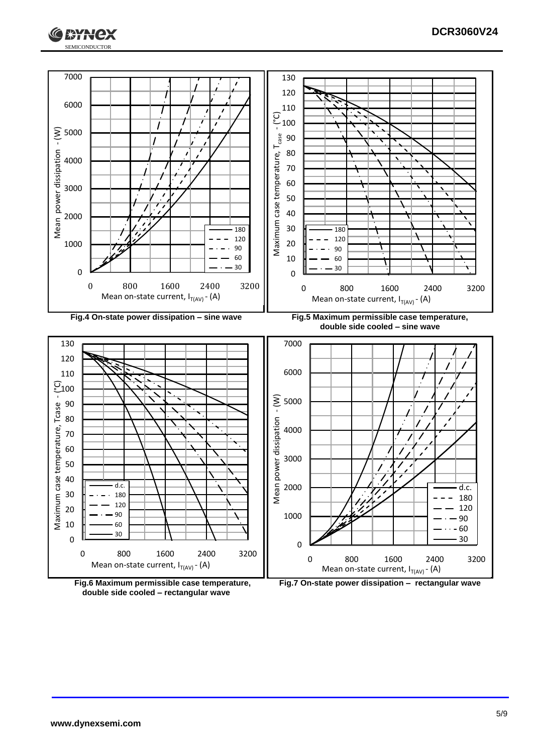





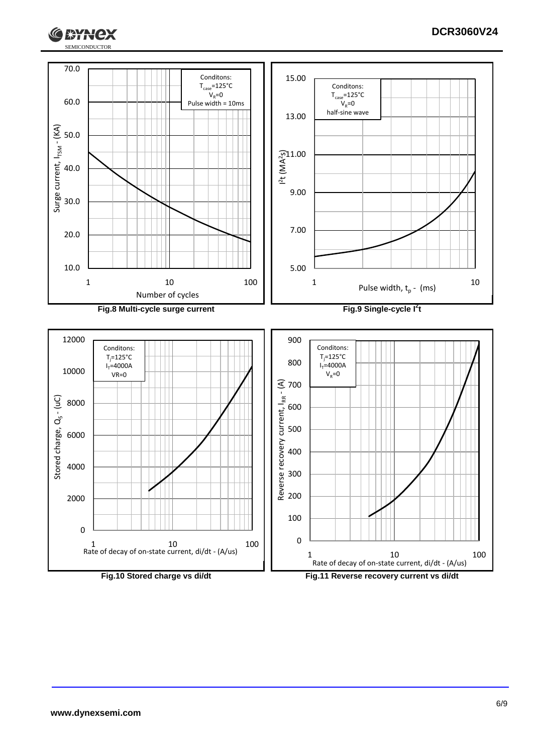

**EXTERNAL** 

lex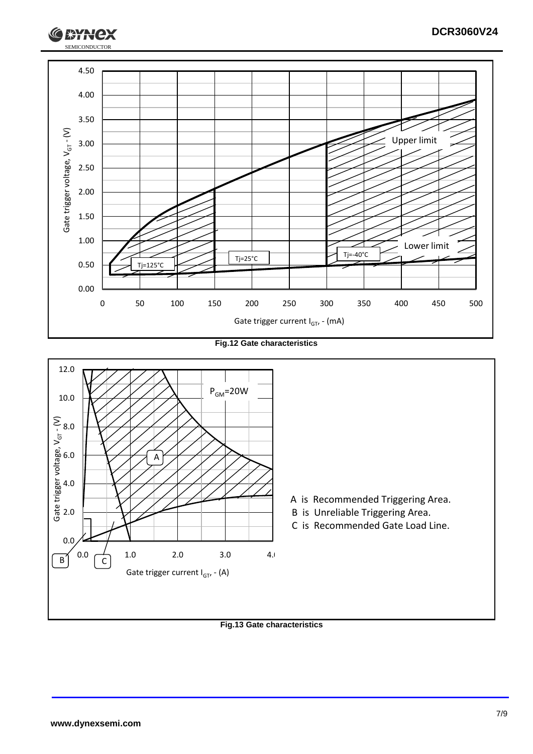

**Fig.12 Gate characteristics**



**Fig.13 Gate characteristics**

SEMICONDUCTOR

**RYH**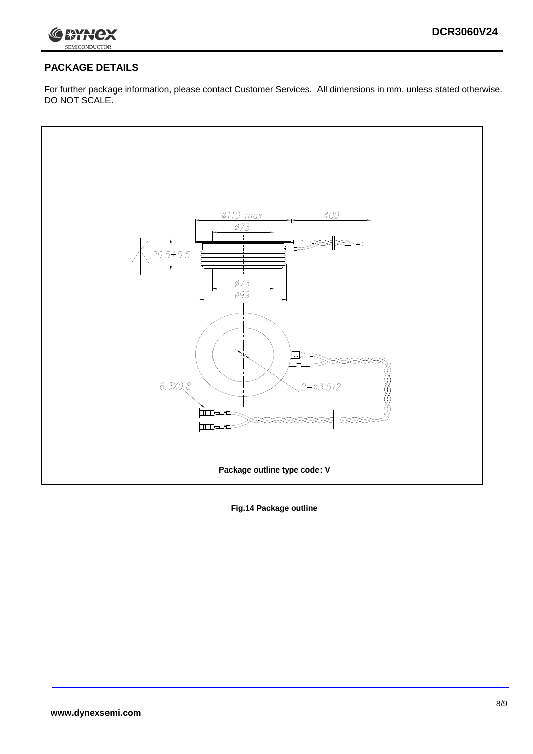

## **PACKAGE DETAILS**

For further package information, please contact Customer Services. All dimensions in mm, unless stated otherwise. DO NOT SCALE.



**Fig.14 Package outline**